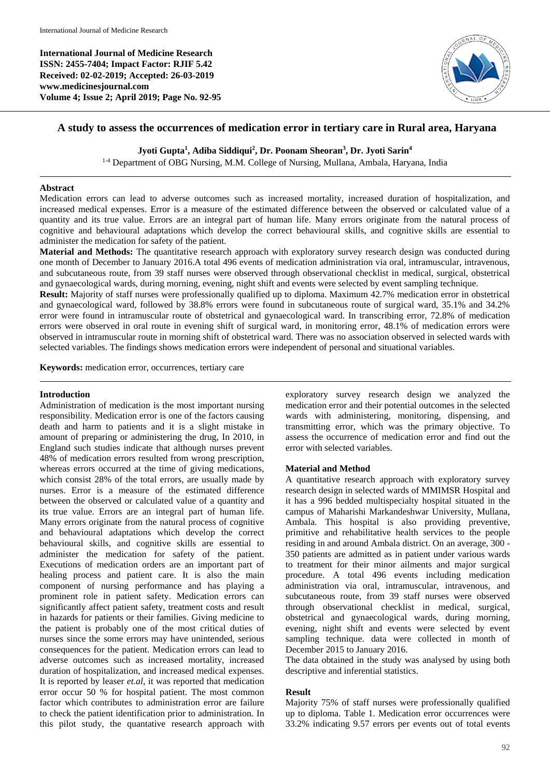**International Journal of Medicine Research ISSN: 2455-7404; Impact Factor: RJIF 5.42 Received: 02-02-2019; Accepted: 26-03-2019 www.medicinesjournal.com Volume 4; Issue 2; April 2019; Page No. 92-95**



# **A study to assess the occurrences of medication error in tertiary care in Rural area, Haryana**

## **Jyoti Gupta<sup>1</sup> , Adiba Siddiqui<sup>2</sup> , Dr. Poonam Sheoran<sup>3</sup> , Dr. Jyoti Sarin<sup>4</sup>**

<sup>1-4</sup> Department of OBG Nursing, M.M. College of Nursing, Mullana, Ambala, Haryana, India

#### **Abstract**

Medication errors can lead to adverse outcomes such as increased mortality, increased duration of hospitalization, and increased medical expenses. Error is a measure of the estimated difference between the observed or calculated value of a quantity and its true value. Errors are an integral part of human life. Many errors originate from the natural process of cognitive and behavioural adaptations which develop the correct behavioural skills, and cognitive skills are essential to administer the medication for safety of the patient.

**Material and Methods:** The quantitative research approach with exploratory survey research design was conducted during one month of December to January 2016.A total 496 events of medication administration via oral, intramuscular, intravenous, and subcutaneous route, from 39 staff nurses were observed through observational checklist in medical, surgical, obstetrical and gynaecological wards, during morning, evening, night shift and events were selected by event sampling technique.

**Result:** Majority of staff nurses were professionally qualified up to diploma. Maximum 42.7% medication error in obstetrical and gynaecological ward, followed by 38.8% errors were found in subcutaneous route of surgical ward, 35.1% and 34.2% error were found in intramuscular route of obstetrical and gynaecological ward. In transcribing error, 72.8% of medication errors were observed in oral route in evening shift of surgical ward, in monitoring error, 48.1% of medication errors were observed in intramuscular route in morning shift of obstetrical ward. There was no association observed in selected wards with selected variables. The findings shows medication errors were independent of personal and situational variables.

**Keywords:** medication error, occurrences, tertiary care

## **Introduction**

Administration of medication is the most important nursing responsibility. Medication error is one of the factors causing death and harm to patients and it is a slight mistake in amount of preparing or administering the drug, In 2010, in England such studies indicate that although nurses prevent 48% of medication errors resulted from wrong prescription, whereas errors occurred at the time of giving medications, which consist 28% of the total errors, are usually made by nurses. Error is a measure of the estimated difference between the observed or calculated value of a quantity and its true value. Errors are an integral part of human life. Many errors originate from the natural process of cognitive and behavioural adaptations which develop the correct behavioural skills, and cognitive skills are essential to administer the medication for safety of the patient. Executions of medication orders are an important part of healing process and patient care. It is also the main component of nursing performance and has playing a prominent role in patient safety. Medication errors can significantly affect patient safety, treatment costs and result in hazards for patients or their families. Giving medicine to the patient is probably one of the most critical duties of nurses since the some errors may have unintended, serious consequences for the patient. Medication errors can lead to adverse outcomes such as increased mortality, increased duration of hospitalization, and increased medical expenses. It is reported by leaser *et.al*, it was reported that medication error occur 50 % for hospital patient. The most common factor which contributes to administration error are failure to check the patient identification prior to administration. In this pilot study, the quantative research approach with exploratory survey research design we analyzed the medication error and their potential outcomes in the selected wards with administering, monitoring, dispensing, and transmitting error, which was the primary objective. To assess the occurrence of medication error and find out the error with selected variables.

## **Material and Method**

A quantitative research approach with exploratory survey research design in selected wards of MMIMSR Hospital and it has a 996 bedded multispecialty hospital situated in the campus of Maharishi Markandeshwar University, Mullana, Ambala. This hospital is also providing preventive, primitive and rehabilitative health services to the people residing in and around Ambala district. On an average, 300 - 350 patients are admitted as in patient under various wards to treatment for their minor ailments and major surgical procedure. A total 496 events including medication administration via oral, intramuscular, intravenous, and subcutaneous route, from 39 staff nurses were observed through observational checklist in medical, surgical, obstetrical and gynaecological wards, during morning, evening, night shift and events were selected by event sampling technique. data were collected in month of December 2015 to January 2016.

The data obtained in the study was analysed by using both descriptive and inferential statistics.

## **Result**

Majority 75% of staff nurses were professionally qualified up to diploma. Table 1. Medication error occurrences were 33.2% indicating 9.57 errors per events out of total events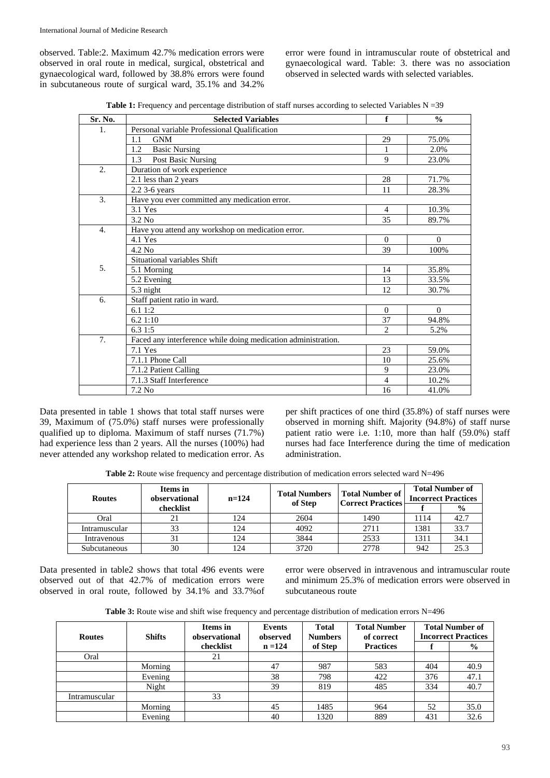observed. Table:2. Maximum 42.7% medication errors were observed in oral route in medical, surgical, obstetrical and gynaecological ward, followed by 38.8% errors were found in subcutaneous route of surgical ward, 35.1% and 34.2%

error were found in intramuscular route of obstetrical and gynaecological ward. Table: 3. there was no association observed in selected wards with selected variables.

Table 1: Frequency and percentage distribution of staff nurses according to selected Variables N = 39

| Sr. No.          | <b>Selected Variables</b>                                     | f                           | $\frac{0}{0}$ |
|------------------|---------------------------------------------------------------|-----------------------------|---------------|
| 1.               | Personal variable Professional Qualification                  |                             |               |
|                  | <b>GNM</b><br>1.1                                             | 29                          | 75.0%         |
|                  | <b>Basic Nursing</b><br>1.2                                   | 1                           | 2.0%          |
|                  | 1.3<br>Post Basic Nursing                                     | 9                           | 23.0%         |
| $\overline{2}$ . | Duration of work experience                                   |                             |               |
|                  | 2.1 less than 2 years                                         | 28                          | 71.7%         |
|                  | 2.2 3-6 years                                                 | 11                          | 28.3%         |
| 3.               | Have you ever committed any medication error.                 |                             |               |
|                  | 3.1 Yes                                                       | $\overline{4}$              | 10.3%         |
|                  | $3.2$ No                                                      | 35                          | 89.7%         |
| $\overline{4}$ . | Have you attend any workshop on medication error.             |                             |               |
|                  | 4.1 Yes                                                       | $\Omega$                    | $\Omega$      |
|                  | 4.2 No                                                        | 39                          | 100%          |
|                  | Situational variables Shift                                   |                             |               |
| 5.               | 5.1 Morning                                                   | 14                          | 35.8%         |
|                  | 5.2 Evening                                                   | 13                          | 33.5%         |
|                  | 5.3 night                                                     | 12                          | 30.7%         |
| 6.               | Staff patient ratio in ward.                                  |                             |               |
|                  | 6.11:2                                                        | $\Omega$                    | $\Omega$      |
|                  | 6.21:10                                                       | 37                          | 94.8%         |
|                  | 6.31:5                                                        | $\mathcal{D}_{\mathcal{L}}$ | 5.2%          |
| 7.               | Faced any interference while doing medication administration. |                             |               |
|                  | 7.1 Yes                                                       | 23                          | 59.0%         |
|                  | 7.1.1 Phone Call                                              | 10                          | 25.6%         |
|                  | 7.1.2 Patient Calling                                         | 9                           | 23.0%         |
|                  | 7.1.3 Staff Interference                                      | $\overline{4}$              | 10.2%         |
|                  | $7.2$ No                                                      | 16                          | 41.0%         |

Data presented in table 1 shows that total staff nurses were 39, Maximum of (75.0%) staff nurses were professionally qualified up to diploma. Maximum of staff nurses (71.7%) had experience less than 2 years. All the nurses (100%) had never attended any workshop related to medication error. As

per shift practices of one third (35.8%) of staff nurses were observed in morning shift. Majority (94.8%) of staff nurse patient ratio were i.e. 1:10, more than half (59.0%) staff nurses had face Interference during the time of medication administration.

**Table 2:** Route wise frequency and percentage distribution of medication errors selected ward N=496

| <b>Routes</b> | Items in<br>observational<br>$n=124$ |     | <b>Total Numbers</b><br>of Step | Total Number of<br><b>Correct Practices</b> | <b>Total Number of</b><br><b>Incorrect Practices</b> |               |  |
|---------------|--------------------------------------|-----|---------------------------------|---------------------------------------------|------------------------------------------------------|---------------|--|
|               | checklist                            |     |                                 |                                             |                                                      | $\frac{0}{0}$ |  |
| Oral          | 21                                   | 124 | 2604                            | 1490                                        | 1114                                                 | 42.7          |  |
| Intramuscular | 33                                   | 124 | 4092                            | 2711                                        | 1381                                                 | 33.7          |  |
| Intravenous   |                                      | 124 | 3844                            | 2533                                        | 1311                                                 | 34.1          |  |
| Subcutaneous  | 30                                   | 124 | 3720                            | 2778                                        | 942                                                  | 25.3          |  |

Data presented in table2 shows that total 496 events were observed out of that 42.7% of medication errors were observed in oral route, followed by 34.1% and 33.7%of error were observed in intravenous and intramuscular route and minimum 25.3% of medication errors were observed in subcutaneous route

**Table 3:** Route wise and shift wise frequency and percentage distribution of medication errors N=496

| <b>Routes</b> | <b>Shifts</b> | Items in<br>observational | <b>Events</b><br>observed | <b>Total</b><br><b>Numbers</b> | <b>Total Number</b><br>of correct |     | <b>Total Number of</b><br><b>Incorrect Practices</b> |
|---------------|---------------|---------------------------|---------------------------|--------------------------------|-----------------------------------|-----|------------------------------------------------------|
|               |               | checklist                 | $n = 124$                 | of Step                        | <b>Practices</b>                  |     | $\%$                                                 |
| Oral          |               | 21                        |                           |                                |                                   |     |                                                      |
|               | Morning       |                           | 47                        | 987                            | 583                               | 404 | 40.9                                                 |
|               | Evening       |                           | 38                        | 798                            | 422                               | 376 | 47.1                                                 |
|               | Night         |                           | 39                        | 819                            | 485                               | 334 | 40.7                                                 |
| Intramuscular |               | 33                        |                           |                                |                                   |     |                                                      |
|               | Morning       |                           | 45                        | 1485                           | 964                               | 52  | 35.0                                                 |
|               | Evening       |                           | 40                        | 1320                           | 889                               | 431 | 32.6                                                 |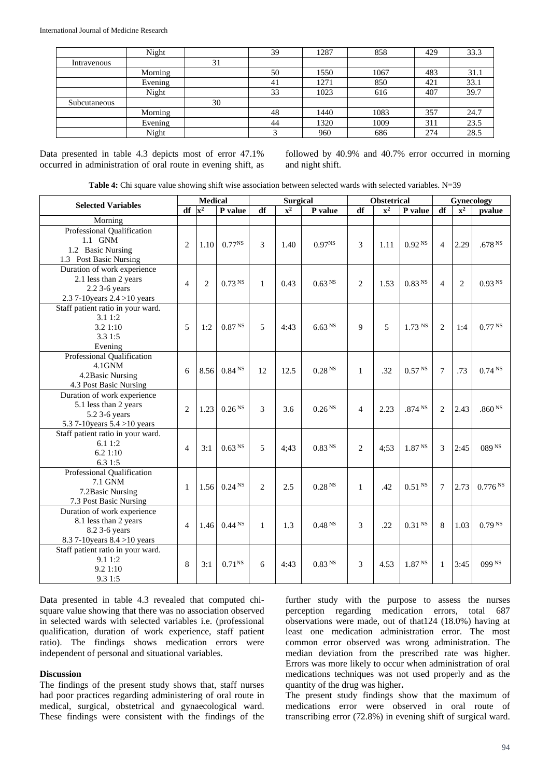|              | Night   |    | 39 | 1287 | 858  | 429 | 33.3 |
|--------------|---------|----|----|------|------|-----|------|
| Intravenous  |         | 31 |    |      |      |     |      |
|              | Morning |    | 50 | 1550 | 1067 | 483 | 31.1 |
|              | Evening |    | 41 | 1271 | 850  | 421 | 33.1 |
|              | Night   |    | 33 | 1023 | 616  | 407 | 39.7 |
| Subcutaneous |         | 30 |    |      |      |     |      |
|              | Morning |    | 48 | 1440 | 1083 | 357 | 24.7 |
|              | Evening |    | 44 | 1320 | 1009 | 311 | 23.5 |
|              | Night   |    |    | 960  | 686  | 274 | 28.5 |

Data presented in table 4.3 depicts most of error 47.1% occurred in administration of oral route in evening shift, as followed by 40.9% and 40.7% error occurred in morning and night shift.

|  |  |  | Table 4: Chi square value showing shift wise association between selected wards with selected variables. N=39 |  |  |  |
|--|--|--|---------------------------------------------------------------------------------------------------------------|--|--|--|
|--|--|--|---------------------------------------------------------------------------------------------------------------|--|--|--|

| <b>Selected Variables</b>                                                                                |                          | <b>Medical</b>            |                    | <b>Surgical</b> |             | Obstetrical        |              |                           | Gynecology         |                |                           |                    |
|----------------------------------------------------------------------------------------------------------|--------------------------|---------------------------|--------------------|-----------------|-------------|--------------------|--------------|---------------------------|--------------------|----------------|---------------------------|--------------------|
|                                                                                                          | df                       | $\overline{\mathbf{x}^2}$ | P value            | df              | ${\bf x}^2$ | P value            | df           | $\overline{\mathbf{x}^2}$ | P value            | df             | $\overline{\mathbf{x}^2}$ | pvalue             |
| Morning                                                                                                  |                          |                           |                    |                 |             |                    |              |                           |                    |                |                           |                    |
| Professional Qualification<br>1.1 GNM<br>1.2 Basic Nursing<br>1.3 Post Basic Nursing                     | $\overline{c}$           | 1.10                      | $0.77^{NS}$        | 3               | 1.40        | $0.97^{NS}$        | 3            | 1.11                      | 0.92 <sup>NS</sup> | $\overline{4}$ | 2.29                      | .678 <sup>NS</sup> |
| Duration of work experience<br>2.1 less than 2 years<br>2.2 3-6 years<br>2.3 7-10 years $2.4 > 10$ years | $\overline{4}$           | $\overline{2}$            | 0.73 <sup>NS</sup> | $\mathbf{1}$    | 0.43        | 0.63 <sup>NS</sup> | 2            | 1.53                      | 0.83 <sup>NS</sup> | $\overline{4}$ | $\overline{c}$            | 0.93 <sup>NS</sup> |
| Staff patient ratio in your ward.<br>3.11:2<br>3.2 1:10<br>3.3 1:5<br>Evening                            | 5                        | 1:2                       | 0.87 <sup>NS</sup> | 5               | 4:43        | 6.63 <sup>NS</sup> | $\mathbf Q$  | 5                         | $1.73$ NS          | 2              | 1:4                       | 0.77 <sup>NS</sup> |
| Professional Qualification<br>4.1GNM<br>4.2Basic Nursing<br>4.3 Post Basic Nursing                       | 6                        | 8.56                      | 0.84 <sup>NS</sup> | 12              | 12.5        | 0.28 <sup>NS</sup> | $\mathbf{1}$ | .32                       | 0.57 <sup>NS</sup> | $\tau$         | .73                       | 0.74 <sup>NS</sup> |
| Duration of work experience<br>5.1 less than 2 years<br>5.2 3-6 years<br>5.3 7-10 years $5.4 > 10$ years | $\overline{2}$           | 1.23                      | 0.26 <sup>NS</sup> | 3               | 3.6         | 0.26 <sup>NS</sup> | 4            | 2.23                      | .874 <sup>NS</sup> | $\overline{2}$ | 2.43                      | .860 <sup>NS</sup> |
| Staff patient ratio in your ward.<br>6.11:2<br>6.21:10<br>6.3 1:5                                        | $\overline{4}$           | 3:1                       | 0.63 <sup>NS</sup> | 5               | 4:43        | 0.83 <sup>NS</sup> | 2            | 4:53                      | 1.87 <sup>NS</sup> | 3              | 2:45                      | 089 NS             |
| Professional Qualification<br>7.1 GNM<br>7.2Basic Nursing<br>7.3 Post Basic Nursing                      | $\mathbf{1}$             | 1.56                      | 0.24 <sup>NS</sup> | $\overline{c}$  | 2.5         | 0.28 <sup>NS</sup> | $\mathbf{1}$ | .42                       | 0.51 <sup>NS</sup> | $\tau$         | 2.73                      | 0.776 Ns           |
| Duration of work experience<br>8.1 less than 2 years<br>8.2 3-6 years<br>8.3 7-10 years 8.4 > 10 years   | $\overline{\mathcal{A}}$ | 1.46                      | 0.44 <sup>NS</sup> | $\mathbf{1}$    | 1.3         | 0.48 <sup>NS</sup> | 3            | .22                       | 0.31 <sup>NS</sup> | 8              | 1.03                      | 0.79 <sup>NS</sup> |
| Staff patient ratio in your ward.<br>9.11:2<br>9.2 1:10<br>9.3 1:5                                       | 8                        | 3:1                       | $0.71^{NS}$        | 6               | 4:43        | 0.83 <sup>NS</sup> | 3            | 4.53                      | 1.87 <sup>NS</sup> | $\mathbf{1}$   | 3:45                      | 099 <sup>NS</sup>  |

Data presented in table 4.3 revealed that computed chisquare value showing that there was no association observed in selected wards with selected variables i.e. (professional qualification, duration of work experience, staff patient ratio). The findings shows medication errors were independent of personal and situational variables.

#### **Discussion**

The findings of the present study shows that, staff nurses had poor practices regarding administering of oral route in medical, surgical, obstetrical and gynaecological ward. These findings were consistent with the findings of the

further study with the purpose to assess the nurses perception regarding medication errors, total 687 observations were made, out of that124 (18.0%) having at least one medication administration error. The most common error observed was wrong administration. The median deviation from the prescribed rate was higher. Errors was more likely to occur when administration of oral medications techniques was not used properly and as the quantity of the drug was higher**.**

The present study findings show that the maximum of medications error were observed in oral route of transcribing error (72.8%) in evening shift of surgical ward.